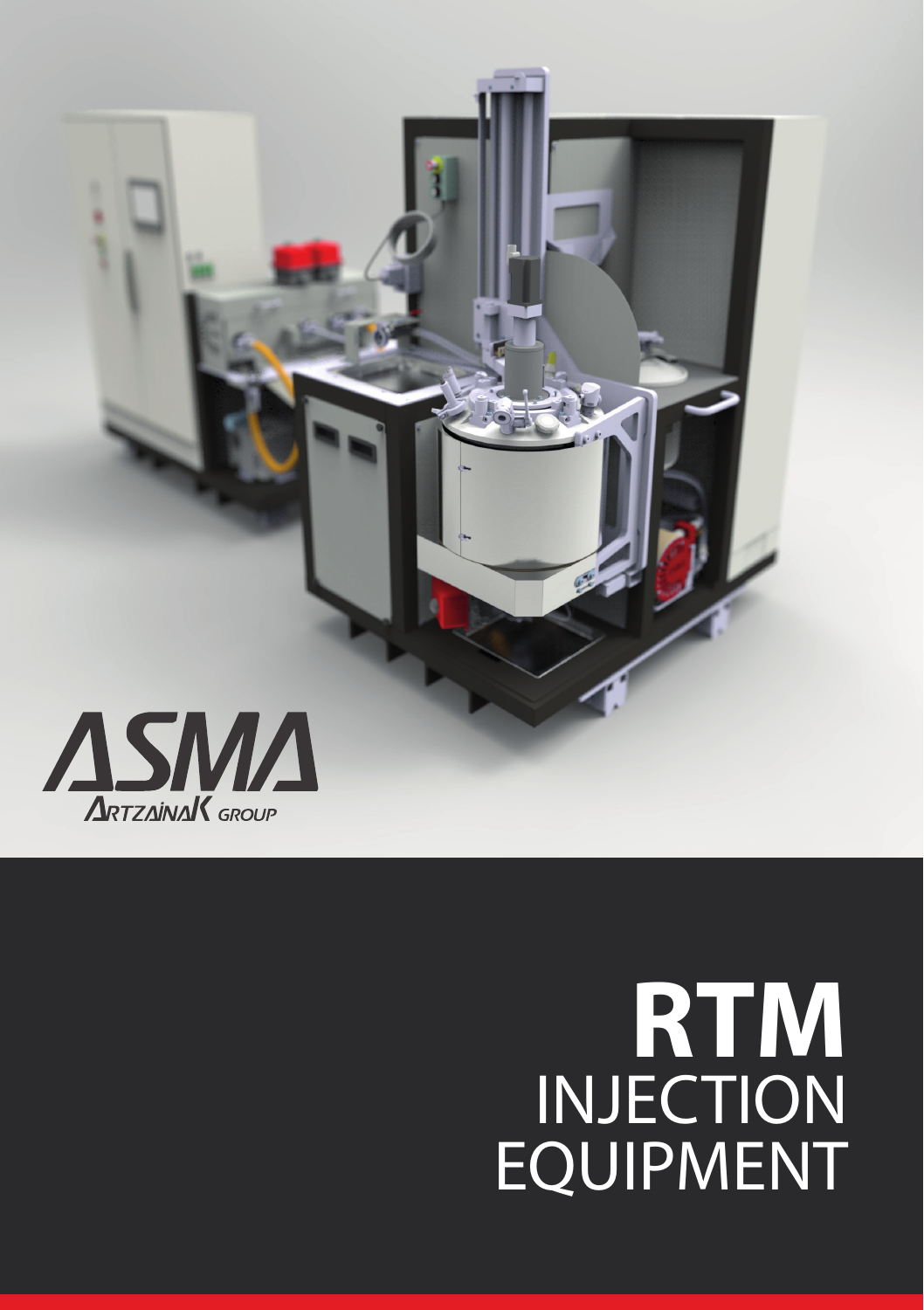

# **RTM**  INJECTION EQUIPMENT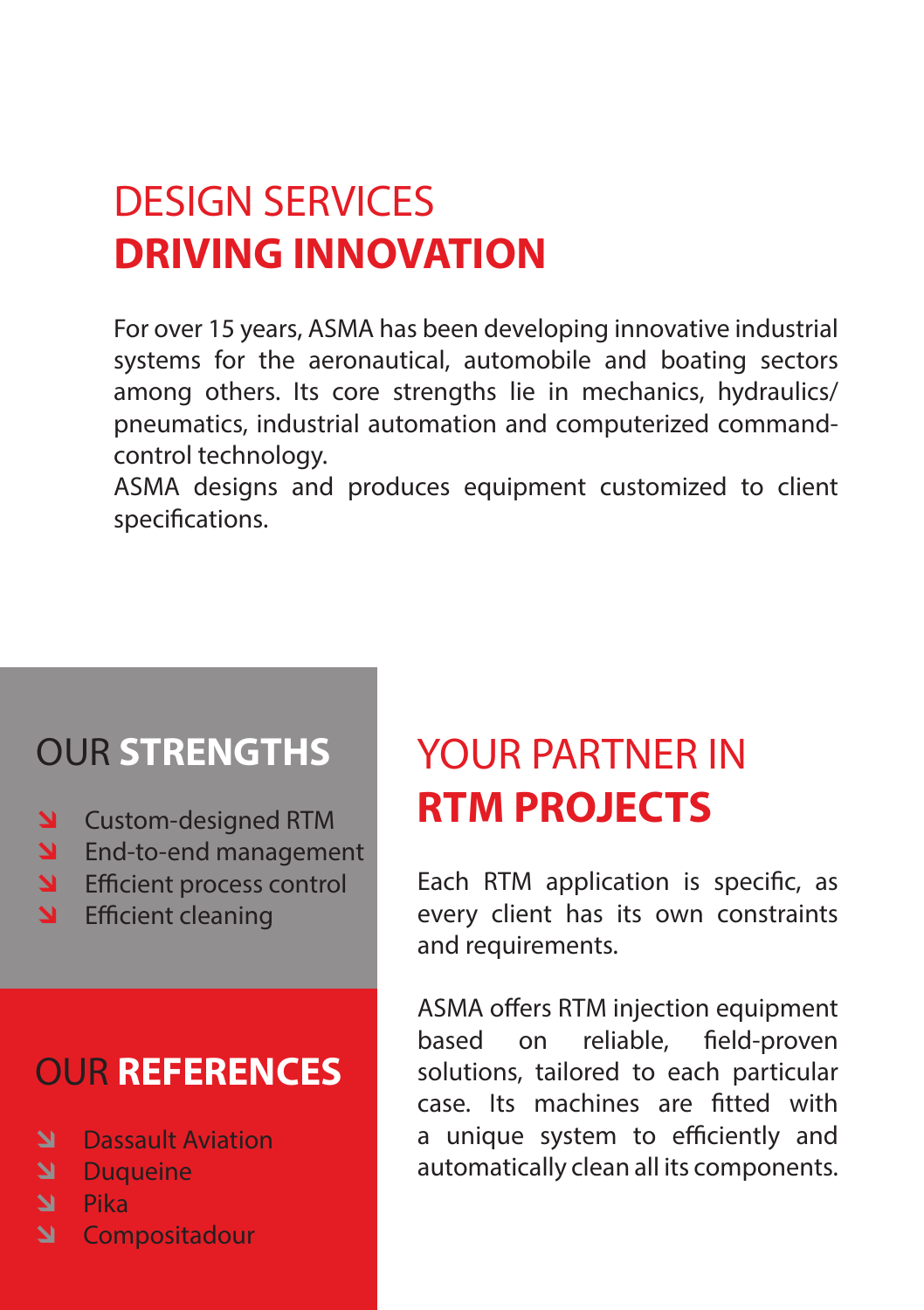# DESIGN SERVICES **DRIVING INNOVATION**

For over 15 years, ASMA has been developing innovative industrial systems for the aeronautical, automobile and boating sectors among others. Its core strengths lie in mechanics, hydraulics/ pneumatics, industrial automation and computerized commandcontrol technology.

ASMA designs and produces equipment customized to client specifications.

### OUR **STRENGTHS**

- **N** Custom-designed RTM
- **S** End-to-end management
- **S** Efficient process control
- **S** Efficient cleaning

### OUR **REFERENCES**

- **N** Dassault Aviation
- **N** Duqueine
- **N** Pika
- **N** Compositadour

### YOUR PARTNER IN **RTM PROJECTS**

Each RTM application is specific, as every client has its own constraints and requirements.

ASMA offers RTM injection equipment based on reliable, field-proven solutions, tailored to each particular case. Its machines are fitted with a unique system to efficiently and automatically clean all its components.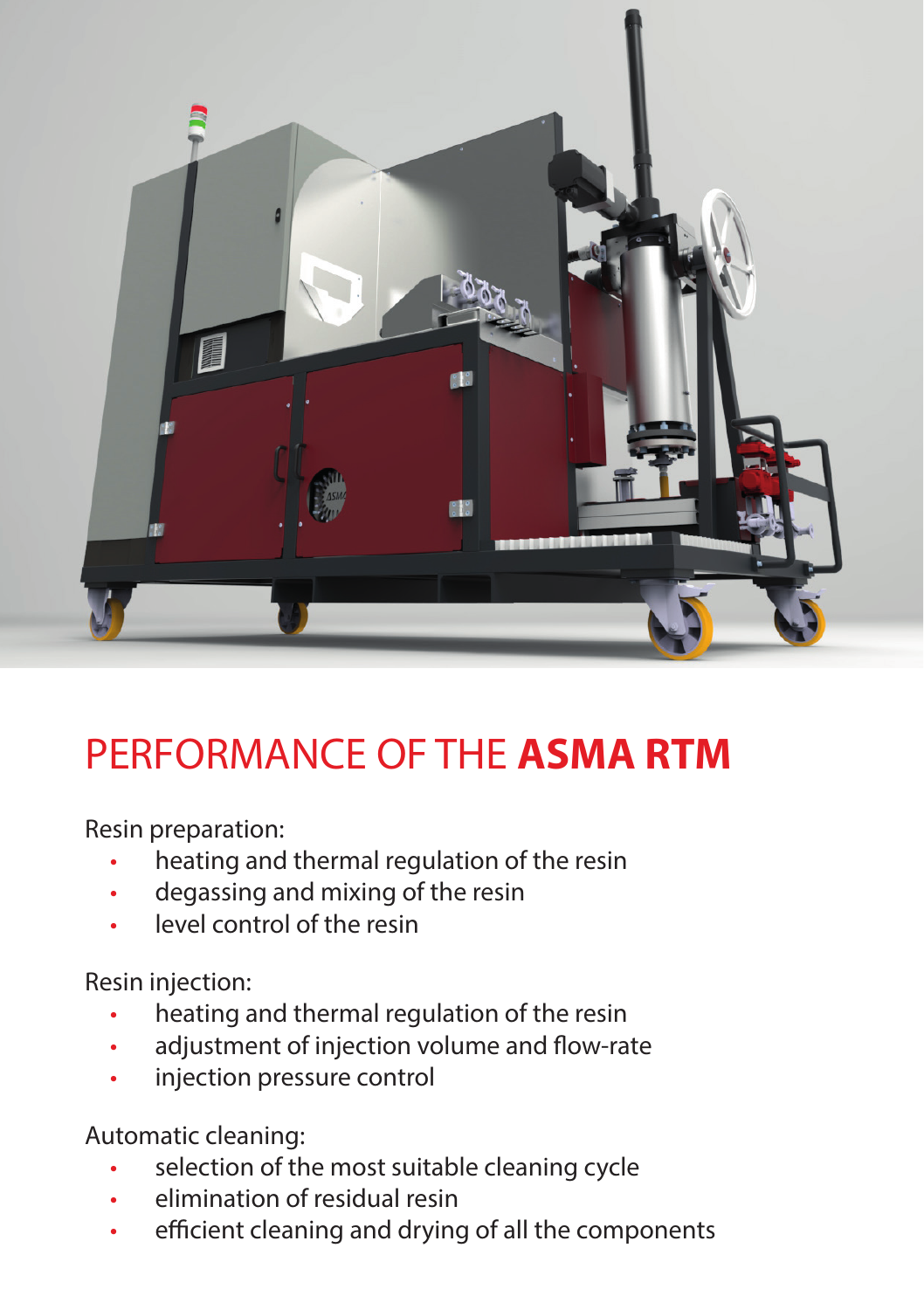

# PERFORMANCE OF THE **ASMA RTM**

Resin preparation:

- heating and thermal regulation of the resin
- degassing and mixing of the resin
- level control of the resin

Resin injection:

- heating and thermal regulation of the resin
- adjustment of injection volume and flow-rate
- injection pressure control

Automatic cleaning:

- selection of the most suitable cleaning cycle
- elimination of residual resin
- efficient cleaning and drying of all the components